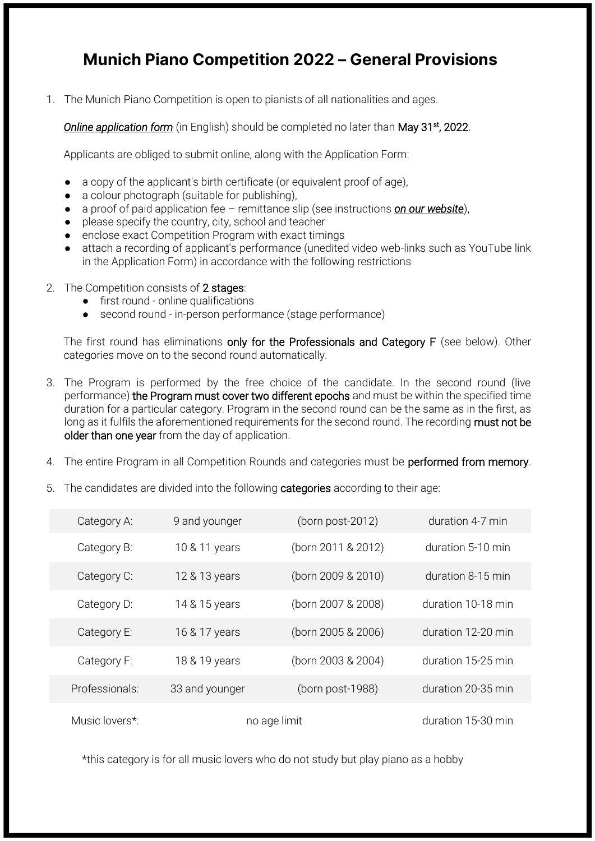## **Munich Piano Competition 2022 – General Provisions**

1. The Munich Piano Competition is open to pianists of all nationalities and ages.

**Online application form** (in English) should be completed no later than May 31<sup>st</sup>, 2022.

Applicants are obliged to submit online, along with the Application Form:

- a copy of the applicant's birth certificate (or equivalent proof of age).
- a colour photograph (suitable for publishing),
- a proof of paid application fee remittance slip (see instructions *on our website*),
- please specify the country, city, school and teacher
- enclose exact Competition Program with exact timings
- attach a recording of applicant's performance (unedited video web-links such as YouTube link in the Application Form) in accordance with the following restrictions
- 2. The Competition consists of 2 stages:
	- first round online qualifications
	- second round in-person performance (stage performance)

The first round has eliminations only for the Professionals and Category F (see below). Other categories move on to the second round automatically.

- 3. The Program is performed by the free choice of the candidate. In the second round (live performance) the Program must cover two different epochs and must be within the specified time duration for a particular category. Program in the second round can be the same as in the first, as long as it fulfils the aforementioned requirements for the second round. The recording must not be older than one year from the day of application.
- 4. The entire Program in all Competition Rounds and categories must be performed from memory.
- 5. The candidates are divided into the following categories according to their age:

| Category A:    | 9 and younger  | (born post-2012)   | duration 4-7 min   |
|----------------|----------------|--------------------|--------------------|
| Category B:    | 10 & 11 years  | (born 2011 & 2012) | duration 5-10 min  |
| Category C:    | 12 & 13 years  | (born 2009 & 2010) | duration 8-15 min  |
| Category D:    | 14 & 15 years  | (born 2007 & 2008) | duration 10-18 min |
| Category E:    | 16 & 17 years  | (born 2005 & 2006) | duration 12-20 min |
| Category F:    | 18 & 19 years  | (born 2003 & 2004) | duration 15-25 min |
| Professionals: | 33 and younger | (born post-1988)   | duration 20-35 min |
| Music lovers*: | no age limit   |                    | duration 15-30 min |

\*this category is for all music lovers who do not study but play piano as a hobby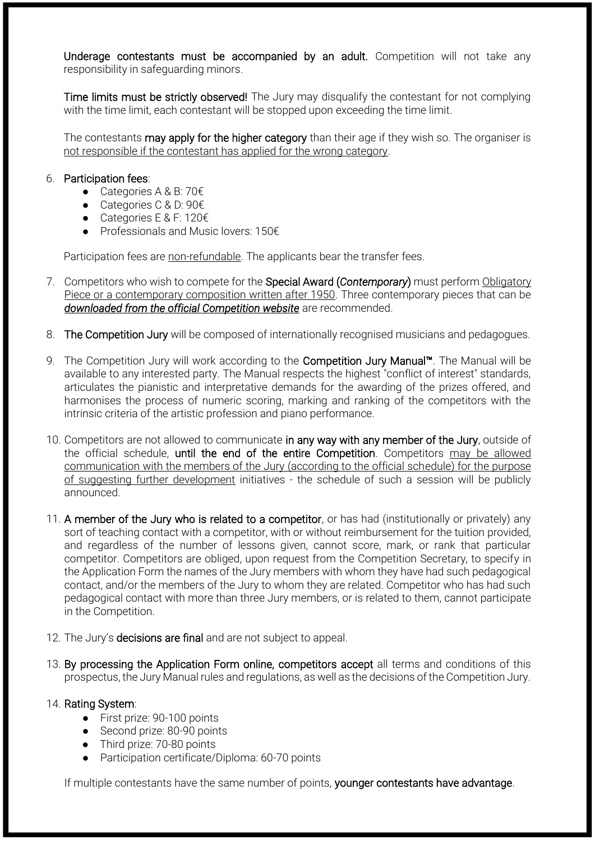Underage contestants must be accompanied by an adult. Competition will not take any responsibility in safeguarding minors.

Time limits must be strictly observed! The Jury may disqualify the contestant for not complying with the time limit, each contestant will be stopped upon exceeding the time limit.

The contestants may apply for the higher category than their age if they wish so. The organiser is not responsible if the contestant has applied for the wrong category.

## 6. Participation fees:

- Categories A & B: 70€
- Categories C & D: 90€
- Categories E & F: 120€
- Professionals and Music lovers: 150€

Participation fees are non-refundable. The applicants bear the transfer fees.

- 7. Competitors who wish to compete for the Special Award (*Contemporary*) must perform Obligatory Piece or a contemporary composition written after 1950. Three contemporary pieces that can be *[downloaded from the official Competition website](https://pianosummer.eu/munich-piano-competition#contemporary)* are recommended.
- 8. The Competition Jury will be composed of internationally recognised musicians and pedagogues.
- 9. The Competition Jury will work according to the **Competition Jury Manual™**. The Manual will be available to any interested party. The Manual respects the highest "conflict of interest" standards, articulates the pianistic and interpretative demands for the awarding of the prizes offered, and harmonises the process of numeric scoring, marking and ranking of the competitors with the intrinsic criteria of the artistic profession and piano performance.
- 10. Competitors are not allowed to communicate in any way with any member of the Jury, outside of the official schedule, until the end of the entire Competition. Competitors may be allowed communication with the members of the Jury (according to the official schedule) for the purpose of suggesting further development initiatives - the schedule of such a session will be publicly announced.
- 11. A member of the Jury who is related to a competitor, or has had (institutionally or privately) any sort of teaching contact with a competitor, with or without reimbursement for the tuition provided, and regardless of the number of lessons given, cannot score, mark, or rank that particular competitor. Competitors are obliged, upon request from the Competition Secretary, to specify in the Application Form the names of the Jury members with whom they have had such pedagogical contact, and/or the members of the Jury to whom they are related. Competitor who has had such pedagogical contact with more than three Jury members, or is related to them, cannot participate in the Competition.
- 12. The Jury's decisions are final and are not subject to appeal.
- 13. By processing the Application Form online, competitors accept all terms and conditions of this prospectus, the Jury Manual rules and regulations, as well as the decisions of the Competition Jury.

## 14. Rating System:

- First prize: 90-100 points
- Second prize: 80-90 points
- Third prize: 70-80 points
- Participation certificate/Diploma: 60-70 points

If multiple contestants have the same number of points, younger contestants have advantage.